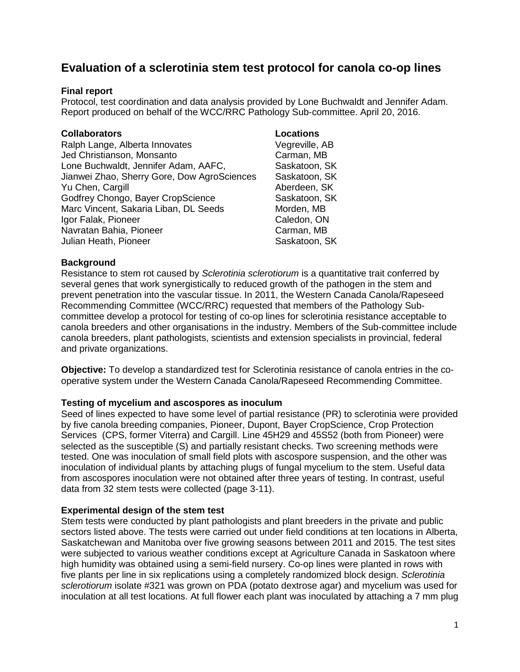# **Evaluation of a sclerotinia stem test protocol for canola co-op lines**

## **Final report**

Protocol, test coordination and data analysis provided by Lone Buchwaldt and Jennifer Adam. Report produced on behalf of the WCC/RRC Pathology Sub-committee. April 20, 2016.

## **Collaborators Locations**

Ralph Lange, Alberta Innovates Vegreville, AB Jed Christianson, Monsanto Carman, MB Lone Buchwaldt, Jennifer Adam, AAFC, Saskatoon, SK Jianwei Zhao, Sherry Gore, Dow AgroSciences Saskatoon, SK Yu Chen, Cargill **Aberdeen, SK** Godfrey Chongo, Bayer CropScience Saskatoon, SK Marc Vincent, Sakaria Liban, DL Seeds Morden, MB Igor Falak, Pioneer Caledon, ON Navratan Bahia, Pioneer **Carman, MB** Julian Heath, Pioneer Saskatoon, SK

## **Background**

Resistance to stem rot caused by *Sclerotinia sclerotiorum* is a quantitative trait conferred by several genes that work synergistically to reduced growth of the pathogen in the stem and prevent penetration into the vascular tissue. In 2011, the Western Canada Canola/Rapeseed Recommending Committee (WCC/RRC) requested that members of the Pathology Subcommittee develop a protocol for testing of co-op lines for sclerotinia resistance acceptable to canola breeders and other organisations in the industry. Members of the Sub-committee include canola breeders, plant pathologists, scientists and extension specialists in provincial, federal and private organizations.

**Objective:** To develop a standardized test for Sclerotinia resistance of canola entries in the cooperative system under the Western Canada Canola/Rapeseed Recommending Committee.

# **Testing of mycelium and ascospores as inoculum**

Seed of lines expected to have some level of partial resistance (PR) to sclerotinia were provided by five canola breeding companies, Pioneer, Dupont, Bayer CropScience, Crop Protection Services (CPS, former Viterra) and Cargill. Line 45H29 and 45S52 (both from Pioneer) were selected as the susceptible (S) and partially resistant checks. Two screening methods were tested. One was inoculation of small field plots with ascospore suspension, and the other was inoculation of individual plants by attaching plugs of fungal mycelium to the stem. Useful data from ascospores inoculation were not obtained after three years of testing. In contrast, useful data from 32 stem tests were collected (page 3-11).

## **Experimental design of the stem test**

Stem tests were conducted by plant pathologists and plant breeders in the private and public sectors listed above. The tests were carried out under field conditions at ten locations in Alberta, Saskatchewan and Manitoba over five growing seasons between 2011 and 2015. The test sites were subjected to various weather conditions except at Agriculture Canada in Saskatoon where high humidity was obtained using a semi-field nursery. Co-op lines were planted in rows with five plants per line in six replications using a completely randomized block design. *Sclerotinia sclerotiorum* isolate #321 was grown on PDA (potato dextrose agar) and mycelium was used for inoculation at all test locations. At full flower each plant was inoculated by attaching a 7 mm plug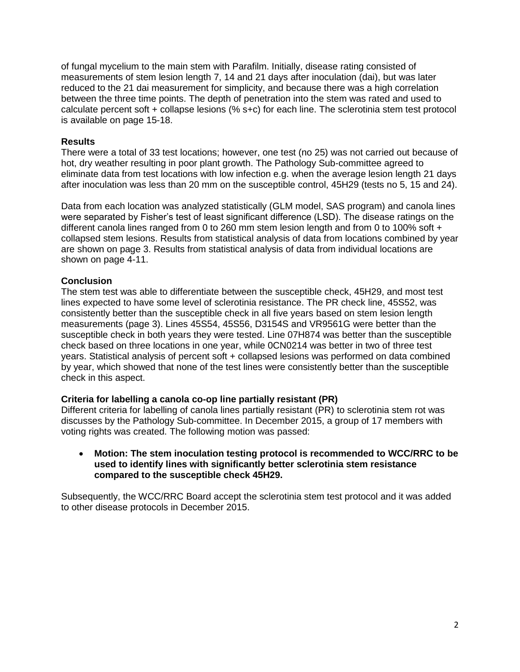of fungal mycelium to the main stem with Parafilm. Initially, disease rating consisted of measurements of stem lesion length 7, 14 and 21 days after inoculation (dai), but was later reduced to the 21 dai measurement for simplicity, and because there was a high correlation between the three time points. The depth of penetration into the stem was rated and used to calculate percent soft + collapse lesions (% s+c) for each line. The sclerotinia stem test protocol is available on page 15-18.

### **Results**

There were a total of 33 test locations; however, one test (no 25) was not carried out because of hot, dry weather resulting in poor plant growth. The Pathology Sub-committee agreed to eliminate data from test locations with low infection e.g. when the average lesion length 21 days after inoculation was less than 20 mm on the susceptible control, 45H29 (tests no 5, 15 and 24).

Data from each location was analyzed statistically (GLM model, SAS program) and canola lines were separated by Fisher's test of least significant difference (LSD). The disease ratings on the different canola lines ranged from 0 to 260 mm stem lesion length and from 0 to 100% soft + collapsed stem lesions. Results from statistical analysis of data from locations combined by year are shown on page 3. Results from statistical analysis of data from individual locations are shown on page 4-11.

## **Conclusion**

The stem test was able to differentiate between the susceptible check, 45H29, and most test lines expected to have some level of sclerotinia resistance. The PR check line, 45S52, was consistently better than the susceptible check in all five years based on stem lesion length measurements (page 3). Lines 45S54, 45S56, D3154S and VR9561G were better than the susceptible check in both years they were tested. Line 07H874 was better than the susceptible check based on three locations in one year, while 0CN0214 was better in two of three test years. Statistical analysis of percent soft + collapsed lesions was performed on data combined by year, which showed that none of the test lines were consistently better than the susceptible check in this aspect.

## **Criteria for labelling a canola co-op line partially resistant (PR)**

Different criteria for labelling of canola lines partially resistant (PR) to sclerotinia stem rot was discusses by the Pathology Sub-committee. In December 2015, a group of 17 members with voting rights was created. The following motion was passed:

### **Motion: The stem inoculation testing protocol is recommended to WCC/RRC to be used to identify lines with significantly better sclerotinia stem resistance compared to the susceptible check 45H29.**

Subsequently, the WCC/RRC Board accept the sclerotinia stem test protocol and it was added to other disease protocols in December 2015.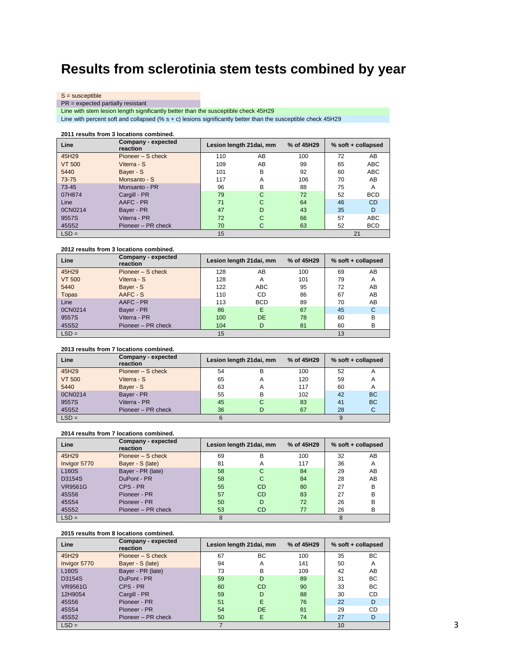# **Results from sclerotinia stem tests combined by year**

S = susceptible

PR = expected partially resistant

Line with stem lesion length significantly better than the susceptible check 45H29

Line with percent soft and collapsed (% s + c) lesions significantly better than the susceptible check 45H29

### **2011 results from 3 locations combined.**

| Line          | Company - expected<br>reaction | Lesion length 21 dai, mm |    | % of 45H29 |    | % soft + collapsed |
|---------------|--------------------------------|--------------------------|----|------------|----|--------------------|
| 45H29         | Pioneer – S check              | 110                      | AB | 100        | 72 | AB                 |
| <b>VT 500</b> | Viterra - S                    | 109                      | AB | 99         | 65 | <b>ABC</b>         |
| 5440          | Bayer - S                      | 101                      | в  | 92         | 60 | <b>ABC</b>         |
| $73 - 75$     | Monsanto - S                   | 117                      | A  | 106        | 70 | AB                 |
| 73-45         | Monsanto - PR                  | 96                       | B  | 88         | 75 | A                  |
| 07H874        | Cargill - PR                   | 79                       | C  | 72         | 52 | <b>BCD</b>         |
| Line          | AAFC - PR                      | 71                       | C  | 64         | 46 | CD                 |
| 0CN0214       | Bayer - PR                     | 47                       | D  | 43         | 35 | D                  |
| 9557S         | Viterra - PR                   | 72                       | C  | 66         | 57 | <b>ABC</b>         |
| 45S52         | Pioneer - PR check             | 70                       | С  | 63         | 52 | <b>BCD</b>         |
| $LSD =$       |                                | 15                       |    |            |    | 21                 |

### **2012 results from 3 locations combined.**

| Line          | Company - expected<br>reaction | Lesion length 21 dai, mm |            | % of 45H29 | % soft + collapsed |    |
|---------------|--------------------------------|--------------------------|------------|------------|--------------------|----|
| 45H29         | Pioneer – S check              | 128                      | AB         | 100        | 69                 | AB |
| <b>VT 500</b> | Viterra - S                    | 128                      | A          | 101        | 79                 | A  |
| 5440          | Bayer - S                      | 122                      | ABC        | 95         | 72                 | AB |
| <b>Topas</b>  | AAFC - S                       | 110                      | CD         | 86         | 67                 | AB |
| Line          | AAFC - PR                      | 113                      | <b>BCD</b> | 89         | 70                 | AB |
| 0CN0214       | Bayer - PR                     | 86                       | Е          | 67         | 45                 | С  |
| 9557S         | Viterra - PR                   | 100                      | <b>DE</b>  | 78         | 60                 | в  |
| 45S52         | Pioneer - PR check             | 104                      | D          | 81         | 60                 | B  |
| $LSD =$       |                                | 15                       |            |            | 13                 |    |

### **2013 results from 7 locations combined.**

| Line          | Company - expected<br>reaction |    | Lesion length 21 dai, mm | % of 45H29 | % soft + collapsed |           |  |
|---------------|--------------------------------|----|--------------------------|------------|--------------------|-----------|--|
| 45H29         | Pioneer – S check              | 54 | в                        | 100        | 52                 | А         |  |
| <b>VT 500</b> | Viterra - S                    | 65 | A                        | 120        | 59                 | A         |  |
| 5440          | Bayer - S                      | 63 | А                        | 117        | 60                 | A         |  |
| 0CN0214       | Bayer - PR                     | 55 | в                        | 102        | 42                 | <b>BC</b> |  |
| 9557S         | Viterra - PR                   | 45 | C                        | 83         | 41                 | <b>BC</b> |  |
| 45S52         | Pioneer - PR check             | 36 |                          | 67         | 28                 |           |  |
| $LSD =$       |                                |    |                          |            |                    |           |  |

### **2014 results from 7 locations combined.**

| Line         | Company - expected<br><b>reaction</b> |    | Lesion length 21 dai, mm | % of 45H29 | % soft + collapsed |    |  |
|--------------|---------------------------------------|----|--------------------------|------------|--------------------|----|--|
| 45H29        | Pioneer – S check                     | 69 | В                        | 100        | 32                 | AB |  |
| Invigor 5770 | Bayer - S (late)                      | 81 | А                        | 117        | 36                 | Α  |  |
| <b>L160S</b> | Bayer - PR (late)                     | 58 | C                        | 84         | 29                 | AB |  |
| D3154S       | DuPont - PR                           | 58 | C                        | 84         | 28                 | AB |  |
| VR9561G      | CPS - PR                              | 55 | <b>CD</b>                | 80         | 27                 | B  |  |
| 45S56        | Pioneer - PR                          | 57 | <b>CD</b>                | 83         | 27                 | B  |  |
| 45S54        | Pioneer - PR                          | 50 | D                        | 72         | 26                 | B  |  |
| 45S52        | Pioneer - PR check                    | 53 | <b>CD</b>                | 77         | 26                 | в  |  |
| $LSD =$      |                                       |    |                          |            | 8                  |    |  |

### **2015 results from 8 locations combined.**

| Line               | Company - expected<br>reaction | Lesion length 21 dai, mm |    | % of 45H29 | % soft + collapsed |    |
|--------------------|--------------------------------|--------------------------|----|------------|--------------------|----|
| 45H29              | Pioneer – S check              | 67                       | BС | 100        | 35                 | BС |
| Invigor 5770       | Bayer - S (late)               | 94                       | A  | 141        | 50                 | А  |
| L <sub>160</sub> S | Bayer - PR (late)              | 73                       | в  | 109        | 42                 | AB |
| D3154S             | DuPont - PR                    | 59                       | D  | 89         | 31                 | BС |
| <b>VR9561G</b>     | CPS - PR                       | 60                       | CD | 90         | 33                 | BС |
| 12H9054            | Cargill - PR                   | 59                       | D  | 88         | 30                 | CD |
| 45S56              | Pioneer - PR                   | 51                       | E  | 76         | 22                 | D  |
| 45S54              | Pioneer - PR                   | 54                       | DE | 81         | 29                 | CD |
| 45S52              | Pioneer - PR check             | 50                       | E  | 74         | 27                 | D  |
| $LSD =$            |                                |                          |    |            | 10                 |    |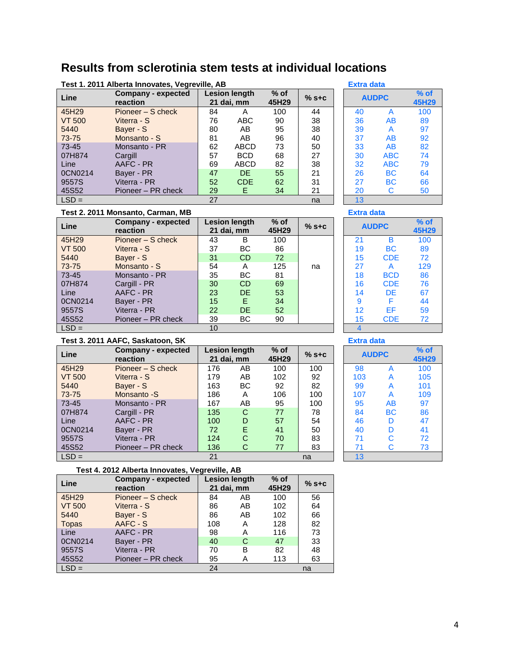# **Results from sclerotinia stem tests at individual locations**

|               | Test 1. 2011 Alberta Innovates, Vegreville, AB<br><b>Extra data</b> |    |                                                                  |     |    |              |    |                |     |
|---------------|---------------------------------------------------------------------|----|------------------------------------------------------------------|-----|----|--------------|----|----------------|-----|
| Line          | Company - expected<br>reaction                                      |    | $%$ of<br><b>Lesion length</b><br>$%$ s+c<br>45H29<br>21 dai, mm |     |    | <b>AUDPC</b> |    | $%$ of<br>45H2 |     |
| 45H29         | Pioneer – S check                                                   | 84 | Α                                                                | 100 | 44 |              | 40 |                | 100 |
| <b>VT 500</b> | Viterra - S                                                         | 76 | <b>ABC</b>                                                       | 90  | 38 |              | 36 | AB             | 89  |
| 5440          | Bayer - S                                                           | 80 | AB                                                               | 95  | 38 |              | 39 | A              | 97  |
| 73-75         | Monsanto - S                                                        | 81 | AB                                                               | 96  | 40 |              | 37 | AB             | 92  |
| 73-45         | Monsanto - PR                                                       | 62 | ABCD                                                             | 73  | 50 |              | 33 | AB             | 82  |
| 07H874        | Cargill                                                             | 57 | <b>BCD</b>                                                       | 68  | 27 |              | 30 | <b>ABC</b>     | 74  |
| Line          | AAFC - PR                                                           | 69 | <b>ABCD</b>                                                      | 82  | 38 |              | 32 | <b>ABC</b>     | 79  |
| 0CN0214       | Bayer - PR                                                          | 47 | DE                                                               | 55  | 21 |              | 26 | ВC             | 64  |
| 9557S         | Viterra - PR                                                        | 52 | <b>CDE</b>                                                       | 62  | 31 |              | 27 | <b>BC</b>      | 66  |
| 45S52         | Pioneer – PR check                                                  | 29 | E.                                                               | 34  | 21 |              | 20 | С              | 50  |
| $LSD =$       |                                                                     | 27 |                                                                  |     | na |              | 13 |                |     |

| $%$ of<br>45H29 | $%$ s+c |  |    | <b>AUDPC</b> | $%$ of<br>45H29 |  |  |  |  |  |
|-----------------|---------|--|----|--------------|-----------------|--|--|--|--|--|
| 100             | 44      |  | 40 | А            | 100             |  |  |  |  |  |
| 90              | 38      |  | 36 | AB           | 89              |  |  |  |  |  |
| 95              | 38      |  | 39 | А            | 97              |  |  |  |  |  |
| 96              | 40      |  | 37 | AB           | 92              |  |  |  |  |  |
| 73              | 50      |  | 33 | AB           | 82              |  |  |  |  |  |
| 68              | 27      |  | 30 | ABC          | 74              |  |  |  |  |  |
| 82              | 38      |  | 32 | ABC          | 79              |  |  |  |  |  |
| 55              | 21      |  | 26 | ВC           | 64              |  |  |  |  |  |
| 62              | 31      |  | 27 | ВC           | 66              |  |  |  |  |  |
| 34              | 21      |  | 20 | С            | 50              |  |  |  |  |  |
|                 | n       |  | 10 |              |                 |  |  |  |  |  |

### **Test 2. 2011 Monsanto, Carman, MB Extra data**

| Line          | Company - expected<br>reaction |                 | Lesion length<br>21 dai, mm | $%$ of<br>45H29 | $%$ s+c | <b>AUDPC</b> |            | $%$ of<br>45H2 |
|---------------|--------------------------------|-----------------|-----------------------------|-----------------|---------|--------------|------------|----------------|
| 45H29         | Pioneer – S check              | 43              | B                           | 100             |         | 21           | B          | 100            |
| <b>VT 500</b> | Viterra - S                    | 37              | BС                          | 86              |         | 19           | <b>BC</b>  | 89             |
| 5440          | Bayer - S                      | 31              | <b>CD</b>                   | 72              |         | 15           | <b>CDE</b> | 72             |
| 73-75         | Monsanto - S                   | 54              | Α                           | 125             | na      | 27           | A          | 129            |
| 73-45         | Monsanto - PR                  | 35              | BС                          | 81              |         | 18           | <b>BCD</b> | 86             |
| 07H874        | Cargill - PR                   | 30              | <b>CD</b>                   | 69              |         | 16           | <b>CDE</b> | 76             |
| Line          | AAFC - PR                      | 23              | <b>DE</b>                   | 53              |         | 14           | DE         | 67             |
| 0CN0214       | Bayer - PR                     | 15 <sup>1</sup> | Е                           | 34              |         | 9            | F          | 44             |
| 9557S         | Viterra - PR                   | 22              | DE.                         | 52              |         | 12           | EF         | 59             |
| 45S52         | Pioneer - PR check             | 39              | BС                          | 90              |         | 15           | <b>CDE</b> | 72             |
| $LSD =$       |                                | 10              |                             |                 |         | 4            |            |                |

| $%$ of<br>45H29 | $%$ s+c |             | <b>AUDPC</b> | $%$ of<br>45H29 |
|-----------------|---------|-------------|--------------|-----------------|
| 100             |         | 21          | в            | 100             |
| 86              |         | 19          | ВC           | 89              |
| 72              |         | 15          | <b>CDE</b>   | 72              |
| 125             | na      | 27          | A            | 129             |
| 81              |         | 18          | <b>BCD</b>   | 86              |
| 69              |         | 16          | <b>CDE</b>   | 76              |
| 53              |         | 14          | DE           | 67              |
| 34              |         | 9           | F            | 44              |
| 52              |         | 12          | ЕF           | 59              |
| 90              |         | 15          | <b>CDE</b>   | 72              |
|                 |         | $\mathbf 4$ |              |                 |

### **Test 3. 2011 AAFC, Saskatoon, SK Extra data**

| Line          | Company - expected<br>reaction |     | <b>Lesion length</b><br>21 dai, mm | $%$ of<br>45H29 | $%$ s+c | <b>AUDPC</b> |           | $%$ of<br>45H2 |
|---------------|--------------------------------|-----|------------------------------------|-----------------|---------|--------------|-----------|----------------|
| 45H29         | Pioneer – S check              | 176 | AB                                 | 100             | 100     | 98           |           | 100            |
| <b>VT 500</b> | Viterra - S                    | 179 | AB                                 | 102             | 92      | 103          |           | 105            |
| 5440          | Bayer - S                      | 163 | BС                                 | 92              | 82      | 99           | A         | 101            |
| 73-75         | Monsanto -S                    | 186 | Α                                  | 106             | 100     | 107          | A         | 109            |
| 73-45         | Monsanto - PR                  | 167 | AB                                 | 95              | 100     | 95           | AB        | 97             |
| 07H874        | Cargill - PR                   | 135 | C                                  | 77              | 78      | 84           | <b>BC</b> | 86             |
| Line          | AAFC - PR                      | 100 | D                                  | 57              | 54      | 46           | D         | 47             |
| 0CN0214       | Bayer - PR                     | 72  | E                                  | 41              | 50      | 40           | D         | 41             |
| 9557S         | Viterra - PR                   | 124 | C                                  | 70              | 83      | 71           | C         | 72             |
| 45S52         | Pioneer – PR check             | 136 | С                                  | 77              | 83      | 71           | C         | 73             |
| $LSD =$       |                                | 21  |                                    |                 | na      | 13           |           |                |

# **45H29 % s+c AUDPC % of 45H29**

| Уŏ  | A         | TUU |
|-----|-----------|-----|
| 103 | A         | 105 |
| 99  | А         | 101 |
| 107 | A         | 109 |
| 95  | AB        | 97  |
| 84  | <b>BC</b> | 86  |
| 46  | D         | 47  |
| 40  | D         | 41  |
| 71  | C         | 72  |
| 71  | Ć         | 73  |
| 13  |           |     |

### **Test 4. 2012 Alberta Innovates, Vegreville, AB**

| Line          | <b>Company - expected</b><br>reaction | <b>Lesion length</b><br>21 dai, mm |    | $%$ of<br>45H29 | $%$ s+c |
|---------------|---------------------------------------|------------------------------------|----|-----------------|---------|
| 45H29         | Pioneer – S check                     | 84                                 | AB | 100             | 56      |
| <b>VT 500</b> | Viterra - S                           | 86                                 | AB | 102             | 64      |
| 5440          | Bayer - S                             | 86                                 | AB | 102             | 66      |
| <b>Topas</b>  | AAFC - S                              | 108                                | Α  | 128             | 82      |
| Line          | AAFC - PR                             | 98                                 | А  | 116             | 73      |
| 0CN0214       | Bayer - PR                            | 40                                 | C  | 47              | 33      |
| 9557S         | Viterra - PR                          | 70                                 | в  | 82              | 48      |
| 45S52         | Pioneer - PR check                    | 95                                 | А  | 113             | 63      |
| $LSD =$       |                                       | 24                                 |    |                 | na      |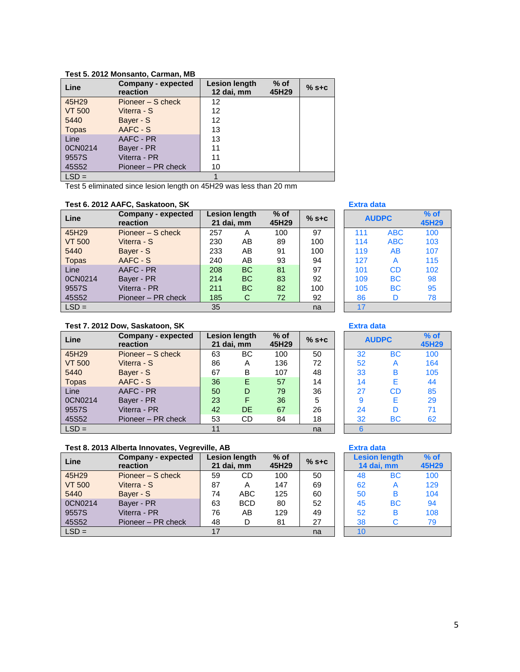| Line          | Company - expected<br>reaction | <b>Lesion length</b><br>12 dai, mm | $%$ of<br>45H29 | $%$ s+c |
|---------------|--------------------------------|------------------------------------|-----------------|---------|
| 45H29         | Pioneer – S check              | 12                                 |                 |         |
| <b>VT 500</b> | Viterra - S                    | 12                                 |                 |         |
| 5440          | Bayer - S                      | 12                                 |                 |         |
| <b>Topas</b>  | AAFC - S                       | 13                                 |                 |         |
| Line          | AAFC - PR                      | 13                                 |                 |         |
| 0CN0214       | Bayer - PR                     | 11                                 |                 |         |
| 9557S         | Viterra - PR                   | 11                                 |                 |         |
| 45S52         | Pioneer - PR check             | 10                                 |                 |         |
| $LSD =$       |                                |                                    |                 |         |

### **Test 5. 2012 Monsanto, Carman, MB**

Test 5 eliminated since lesion length on 45H29 was less than 20 mm

### **Test 6. 2012 AAFC, Saskatoon, SK Extra data**

| Line          | Company - expected<br>reaction | 21 dai, mm | <b>Lesion length</b> | $%$ of<br>45H29 | $%$ s+c |     | <b>AUDPC</b> |     |
|---------------|--------------------------------|------------|----------------------|-----------------|---------|-----|--------------|-----|
| 45H29         | Pioneer – S check              | 257        | A                    | 100             | 97      | 111 | <b>ABC</b>   | 100 |
| <b>VT 500</b> | Viterra - S                    | 230        | AB                   | 89              | 100     | 114 | <b>ABC</b>   | 103 |
| 5440          | Bayer - S                      | 233        | AB                   | 91              | 100     | 119 | AB           | 107 |
| <b>Topas</b>  | AAFC - S                       | 240        | AB                   | 93              | 94      | 127 | A            | 115 |
| Line          | AAFC - PR                      | 208        | <b>BC</b>            | 81              | 97      | 101 | <b>CD</b>    | 102 |
| 0CN0214       | Bayer - PR                     | 214        | <b>BC</b>            | 83              | 92      | 109 | <b>BC</b>    | 98  |
| 9557S         | Viterra - PR                   | 211        | <b>BC</b>            | 82              | 100     | 105 | <b>BC</b>    | 95  |
| 45S52         | Pioneer - PR check             | 185        | C                    | 72              | 92      | 86  | D            | 78  |
| $LSD =$       |                                | 35         |                      |                 | na      | 17  |              |     |

| $%$ of<br>45H29 | $%$ s+c |     | <b>AUDPC</b> | $%$ of<br>45H29 |
|-----------------|---------|-----|--------------|-----------------|
| 100             | 97      | 111 | <b>ABC</b>   | 100             |
| 89              | 100     | 114 | <b>ABC</b>   | 103             |
| 91              | 100     | 119 | AB           | 107             |
| 93              | 94      | 127 | A            | 115             |
| 81              | 97      | 101 | CD           | 102             |
| 83              | 92      | 109 | <b>BC</b>    | 98              |
| 82              | 100     | 105 | ВC           | 95              |
| 72              | 92      | 86  | D            | 78              |
|                 | na      | 17  |              |                 |

### **Test 7. 2012 Dow, Saskatoon, SK Extra data**

| Line          | Company - expected<br>reaction |    | <b>Lesion length</b><br>21 dai, mm | $%$ of<br>45H29 | $%$ s+c |    | <b>AUDPC</b> |     |
|---------------|--------------------------------|----|------------------------------------|-----------------|---------|----|--------------|-----|
| 45H29         | Pioneer – S check              | 63 | BC.                                | 100             | 50      | 32 | <b>BC</b>    | 100 |
| <b>VT 500</b> | Viterra - S                    | 86 | A                                  | 136             | 72      | 52 | A            | 164 |
| 5440          | Bayer - S                      | 67 | B                                  | 107             | 48      | 33 | B            | 105 |
| <b>Topas</b>  | AAFC - S                       | 36 | F                                  | 57              | 14      | 14 | Е            | 44  |
| Line          | AAFC - PR                      | 50 | D                                  | 79              | 36      | 27 | CD           | 85  |
| 0CN0214       | Bayer - PR                     | 23 | F                                  | 36              | 5       | 9  | Е            | 29  |
| 9557S         | Viterra - PR                   | 42 | <b>DE</b>                          | 67              | 26      | 24 | D            | 71  |
| 45S52         | Pioneer – PR check             | 53 | CD                                 | 84              | 18      | 32 | <b>BC</b>    | 62  |
| $LSD =$       |                                | 11 |                                    |                 | na      | 6  |              |     |

| $%$ of<br>45H29 | $%$ s+c |    | <b>AUDPC</b> | $%$ of<br>45H29 |
|-----------------|---------|----|--------------|-----------------|
| 100             | 50      | 32 | ВC           | 100             |
| 136             | 72      | 52 | Α            | 164             |
| 107             | 48      | 33 | В            | 105             |
| 57              | 14      | 14 | E            | 44              |
| 79              | 36      | 27 | CD           | 85              |
| 36              | 5       | 9  | E            | 29              |
| 67              | 26      | 24 | D            | 71              |
| 84              | 18      | 32 | ВC           | 62              |
|                 | na      | 6  |              |                 |

# **Test 8. 2013 Alberta Innovates, Vegreville, AB <b>Extra data Extra data**

| Line          | Company - expected<br>reaction |    | <b>Lesion length</b><br>21 dai, mm | $%$ of<br>45H29 | $%$ s+c |    | <b>Lesion length</b><br>14 dai. mm |     |
|---------------|--------------------------------|----|------------------------------------|-----------------|---------|----|------------------------------------|-----|
| 45H29         | Pioneer – S check              | 59 | CD                                 | 100             | 50      | 48 | <b>BC</b>                          | 100 |
| <b>VT 500</b> | Viterra - S                    | 87 |                                    | 147             | 69      | 62 | A                                  | 129 |
| 5440          | Bayer - S                      | 74 | ABC                                | 125             | 60      | 50 | в                                  | 104 |
| 0CN0214       | Bayer - PR                     | 63 | <b>BCD</b>                         | 80              | 52      | 45 | <b>BC</b>                          | 94  |
| 9557S         | Viterra - PR                   | 76 | AB                                 | 129             | 49      | 52 | в                                  | 108 |
| 45S52         | Pioneer - PR check             | 48 |                                    | 81              | 27      | 38 | C                                  | 79  |
| $LSD =$       |                                | 17 |                                    |                 | na      | 10 |                                    |     |

| Extra data |                      |        |
|------------|----------------------|--------|
|            | <b>Lesion length</b> | $%$ of |
|            | 14 dai, mm           | 45H29  |
| 48         | ВC                   | 100    |
| 62         | A                    | 129    |
| 50         | R                    | 104    |
| 45         | BC                   | 94     |
| 52         | в                    | 108    |
| 38         | C                    | 79     |
| 10         |                      |        |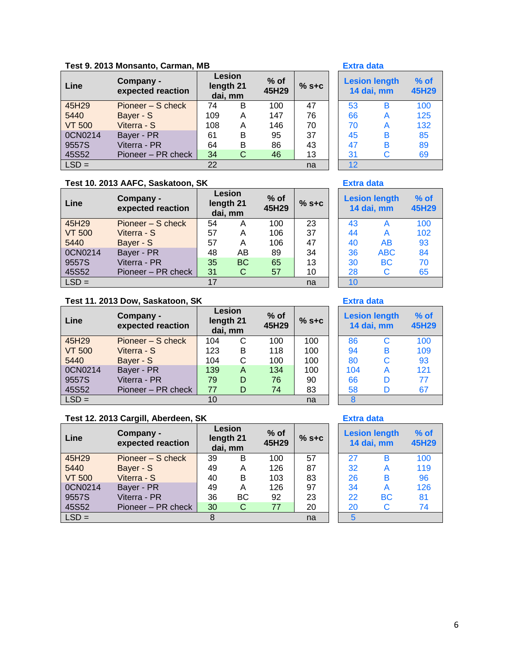|  |  | Test 9. 2013 Monsanto, Carman, MB |  |
|--|--|-----------------------------------|--|
|  |  |                                   |  |

| Line          | Company -<br>expected reaction | Lesion<br>length 21<br>dai, mm |   | $%$ of<br>45H29 | $%$ s+c | <b>Lesion length</b><br>14 dai, mm |   | $%$ of<br><b>45H2</b> |
|---------------|--------------------------------|--------------------------------|---|-----------------|---------|------------------------------------|---|-----------------------|
| 45H29         | Pioneer – S check              | 74                             | в | 100             | 47      | 53                                 | в | 100                   |
| 5440          | Bayer - S                      | 109                            | Α | 147             | 76      | 66                                 | А | 125                   |
| <b>VT 500</b> | Viterra - S                    | 108                            | Α | 146             | 70      | 70                                 | А | 132                   |
| 0CN0214       | Bayer - PR                     | 61                             | в | 95              | 37      | 45                                 | в | 85                    |
| 9557S         | Viterra - PR                   | 64                             | B | 86              | 43      | 47                                 | в | 89                    |
| 45S52         | Pioneer - PR check             | 34                             | C | 46              | 13      | 31                                 | C | 69                    |
| $LSD =$       |                                | 22                             |   |                 | na      | 12                                 |   |                       |

# **Test 10. 2013 AAFC, Saskatoon, SK Extra data**

| Line          | Company -<br>expected reaction |    | Lesion<br>length 21<br>dai, mm | $%$ of<br>45H29 | $%$ s+c | <b>Lesion length</b><br>14 dai, mm |            | $%$ of<br>45H2 |
|---------------|--------------------------------|----|--------------------------------|-----------------|---------|------------------------------------|------------|----------------|
| 45H29         | Pioneer – S check              | 54 | Α                              | 100             | 23      | 43                                 | A          | 100            |
| <b>VT 500</b> | Viterra - S                    | 57 | Α                              | 106             | 37      | 44                                 | A          | 102            |
| 5440          | Bayer - S                      | 57 | Α                              | 106             | 47      | 40                                 | AB         | 93             |
| 0CN0214       | Bayer - PR                     | 48 | AB                             | 89              | 34      | 36                                 | <b>ABC</b> | 84             |
| 9557S         | Viterra - PR                   | 35 | <b>BC</b>                      | 65              | 13      | 30                                 | <b>BC</b>  | 70             |
| 45S52         | Pioneer - PR check             | 31 | C                              | 57              | 10      | 28                                 | C          | 65             |
| $LSD =$       |                                | 17 |                                |                 | na      | 10                                 |            |                |

### **Test 11. 2013 Dow, Saskatoon, SK Extra data**

| Line          | Company -<br>expected reaction | Lesion<br>length 21<br>dai, mm |   | % of<br>45H29 | $%$ s+c |     | <b>Lesion length</b><br>14 dai, mm |     |
|---------------|--------------------------------|--------------------------------|---|---------------|---------|-----|------------------------------------|-----|
| 45H29         | Pioneer – S check              | 104                            | C | 100           | 100     | 86  | C                                  | 100 |
| <b>VT 500</b> | Viterra - S                    | 123                            | в | 118           | 100     | 94  | в                                  | 109 |
| 5440          | Bayer - S                      | 104                            | С | 100           | 100     | 80  | C                                  | 93  |
| 0CN0214       | Bayer - PR                     | 139                            | A | 134           | 100     | 104 | A                                  | 121 |
| 9557S         | Viterra - PR                   | 79                             | D | 76            | 90      | 66  | D                                  | 77  |
| 45S52         | Pioneer – PR check             | 77                             | D | 74            | 83      | 58  | D                                  | 67  |
| $LSD =$       |                                | 10                             |   |               | na      |     |                                    |     |

## **Test 12. 2013 Cargill, Aberdeen, SK Extra data**

| Line          | Company -<br>expected reaction |    | Lesion<br>length 21<br>dai, mm | $%$ of<br>45H29 | $%$ s+c | <b>Lesion length</b><br>14 dai, mm |              | $%$ o<br>45H2 |
|---------------|--------------------------------|----|--------------------------------|-----------------|---------|------------------------------------|--------------|---------------|
| 45H29         | Pioneer – S check              | 39 | B                              | 100             | 57      | 27                                 | в            | 100           |
| 5440          | Bayer - S                      | 49 | Α                              | 126             | 87      | 32                                 | A            | 119           |
| <b>VT 500</b> | Viterra - S                    | 40 | B                              | 103             | 83      | 26                                 | B            | 96            |
| 0CN0214       | Bayer - PR                     | 49 | A                              | 126             | 97      | 34                                 | A            | 126           |
| 9557S         | Viterra - PR                   | 36 | <b>BC</b>                      | 92              | 23      | 22                                 | <b>BC</b>    | 81            |
| 45S52         | Pioneer - PR check             | 30 | C                              | 77              | 20      | 20                                 | $\mathsf{C}$ | 74            |
| $LSD =$       |                                | 8  |                                |                 | na      | 5                                  |              |               |

### **Extra data**

|    | <b>Lesion length</b><br>14 dai, mm |     |  |  |
|----|------------------------------------|-----|--|--|
| 53 | в                                  | 100 |  |  |
| 66 | А                                  | 125 |  |  |
| 70 | A                                  | 132 |  |  |
| 45 | в                                  | 85  |  |  |
| 47 | в                                  | 89  |  |  |
| 31 | C                                  | 69  |  |  |
| 12 |                                    |     |  |  |

| <b>Lesion length</b><br>14 dai, mm | $%$ of<br>45H29 |     |
|------------------------------------|-----------------|-----|
| 43                                 | A               | 100 |
| 44                                 | A               | 102 |
| 40                                 | AB              | 93  |
| 36                                 | <b>ABC</b>      | 84  |
| 30                                 | BC              | 70  |
| 28                                 | C               | 65  |
| 10                                 |                 |     |

| <b>Lesion length</b><br>14 dai, mm | $%$ of<br>45H29 |     |
|------------------------------------|-----------------|-----|
| 86                                 | С               | 100 |
| 94                                 | в               | 109 |
| 80                                 | Ć               | 93  |
| 104                                | A               | 121 |
| 66                                 | D               | 77  |
| 58                                 | D               | 67  |
| 8                                  |                 |     |

| $%$ of<br>45H29 | $%$ s+c | <b>Lesion length</b><br>14 dai, mm | $%$ of<br>45H29 |     |
|-----------------|---------|------------------------------------|-----------------|-----|
| 100             | 57      | 27                                 | B               | 100 |
| 126             | 87      | 32                                 | A               | 119 |
| 103             | 83      | 26                                 | в               | 96  |
| 126             | 97      | 34                                 | A               | 126 |
| 92              | 23      | 22                                 | <b>BC</b>       | 81  |
| 77              | 20      | 20                                 | С               | 74  |
|                 | na      |                                    |                 |     |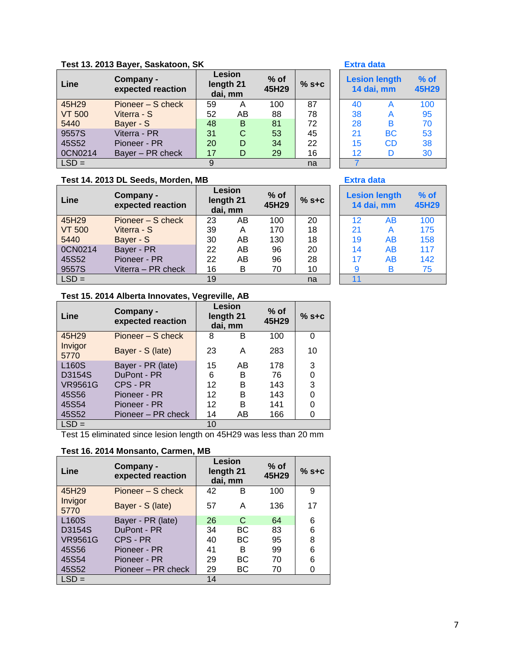# **Test 13. 2013 Bayer, Saskatoon, SK Extra data**

| Line          | Company -<br>expected reaction |    | <b>Lesion</b><br>length 21<br>dai, mm | $%$ of<br>45H29 | $%$ s+c |    | <b>Lesion length</b><br>14 dai, mm | $%$ o<br>45H2 |
|---------------|--------------------------------|----|---------------------------------------|-----------------|---------|----|------------------------------------|---------------|
| 45H29         | Pioneer – S check              | 59 | A                                     | 100             | 87      | 40 |                                    | 100           |
| <b>VT 500</b> | Viterra - S                    | 52 | AΒ                                    | 88              | 78      | 38 | A                                  | 95            |
| 5440          | Bayer - S                      | 48 | B                                     | 81              | 72      | 28 | в                                  | 70            |
| 9557S         | Viterra - PR                   | 31 | С                                     | 53              | 45      | 21 | <b>BC</b>                          | 53            |
| 45S52         | Pioneer - PR                   | 20 | D                                     | 34              | 22      | 15 | <b>CD</b>                          | 38            |
| 0CN0214       | Bayer - PR check               | 17 | D                                     | 29              | 16      | 12 | D                                  | 30            |
| $LSD =$       |                                | 9  |                                       |                 | na      |    |                                    |               |

### **Test 14. 2013 DL Seeds, Morden, MB Extra data**

| Line          | Company -<br>expected reaction |    | Lesion<br>length 21<br>dai, mm | $%$ of<br>45H29 | $%$ s+c | <b>Lesion length</b><br>14 dai, mm |    | $%$ o<br>45H2 |
|---------------|--------------------------------|----|--------------------------------|-----------------|---------|------------------------------------|----|---------------|
| 45H29         | Pioneer – S check              | 23 | AB                             | 100             | 20      | 12                                 | AB | 100           |
| <b>VT 500</b> | Viterra - S                    | 39 | Α                              | 170             | 18      | 21                                 | A  | 175           |
| 5440          | Bayer - S                      | 30 | AB                             | 130             | 18      | 19                                 | AB | 158           |
| 0CN0214       | Bayer - PR                     | 22 | AB                             | 96              | 20      | 14                                 | AB | 117           |
| 45S52         | Pioneer - PR                   | 22 | AB                             | 96              | 28      | 17                                 | AB | 142           |
| 9557S         | Viterra - PR check             | 16 | B                              | 70              | 10      | 9                                  | B  | 75            |
| $LSD =$       |                                | 19 |                                |                 | na      | 11                                 |    |               |

| <b>Lesion length</b><br>14 dai, mm | % of<br><b>45H29</b> |     |
|------------------------------------|----------------------|-----|
| 40                                 | А                    | 100 |
| 38                                 | A                    | 95  |
| 28                                 | в                    | 70  |
| 21                                 | ВC                   | 53  |
| 15                                 | CD                   | 38  |
| 12                                 | D                    | 30  |
|                                    |                      |     |

| $%$ of<br>45H29 | $%$ S+C | <b>Lesion length</b><br>14 dai, mm | $%$ of<br>45H29 |     |
|-----------------|---------|------------------------------------|-----------------|-----|
| 100             | 20      | 12                                 | AB              | 100 |
| 170             | 18      | 21                                 | A               | 175 |
| 130             | 18      | 19                                 | AB              | 158 |
| 96              | 20      | 14                                 | AB              | 117 |
| 96              | 28      | 17                                 | AB              | 142 |
| 70              | 10      | 9                                  | в               | 75  |
|                 | na      | 11                                 |                 |     |

### **Test 15. 2014 Alberta Innovates, Vegreville, AB**

| Line               | Company -<br>expected reaction | <b>Lesion</b><br>length 21<br>dai, mm |    |     |    | $%$ of<br>45H29 | $%$ s+c |
|--------------------|--------------------------------|---------------------------------------|----|-----|----|-----------------|---------|
| 45H29              | Pioneer – S check              | 8                                     | в  | 100 | 0  |                 |         |
| Invigor<br>5770    | Bayer - S (late)               | 23                                    | Α  | 283 | 10 |                 |         |
| L <sub>160</sub> S | Bayer - PR (late)              | 15                                    | AB | 178 | 3  |                 |         |
| D3154S             | DuPont - PR                    | 6                                     | в  | 76  | 0  |                 |         |
| <b>VR9561G</b>     | CPS - PR                       | 12                                    | в  | 143 | 3  |                 |         |
| 45S56              | Pioneer - PR                   | 12                                    | в  | 143 | 0  |                 |         |
| 45S54              | Pioneer - PR                   | 12                                    | в  | 141 | 0  |                 |         |
| 45S52              | Pioneer – PR check             | 14                                    | AB | 166 | 0  |                 |         |
| $LSD =$            |                                | 10                                    |    |     |    |                 |         |

Test 15 eliminated since lesion length on 45H29 was less than 20 mm

### **Test 16. 2014 Monsanto, Carmen, MB**

| Line               | Company -<br>expected reaction | <b>Lesion</b><br>length 21<br>dai, mm |    | $%$ of<br>45H29 | $%$ s+c |
|--------------------|--------------------------------|---------------------------------------|----|-----------------|---------|
| 45H29              | Pioneer – S check              | 42                                    | в  | 100             | 9       |
| Invigor<br>5770    | Bayer - S (late)               | 57                                    | Α  | 136             | 17      |
| L <sub>160</sub> S | Bayer - PR (late)              | 26                                    | C  | 64              | 6       |
| D3154S             | DuPont - PR                    | 34                                    | ВC | 83              | 6       |
| <b>VR9561G</b>     | CPS - PR                       | 40                                    | ВC | 95              | 8       |
| 45S56              | Pioneer - PR                   | 41                                    | В  | 99              | 6       |
| 45S54              | Pioneer - PR                   | 29                                    | ВC | 70              | 6       |
| 45S52              | Pioneer – PR check             | 29                                    | ВC | 70              | 0       |
| $LSD =$            |                                | 14                                    |    |                 |         |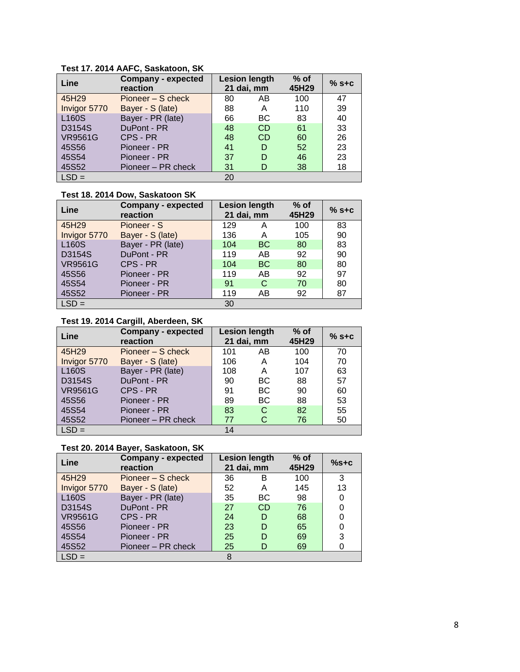**Test 17. 2014 AAFC, Saskatoon, SK**

| Line           | <b>Company - expected</b><br>reaction |    | <b>Lesion length</b><br>21 dai, mm | $%$ of<br>45H29 | $%$ s+c |
|----------------|---------------------------------------|----|------------------------------------|-----------------|---------|
| 45H29          | Pioneer – S check                     | 80 | AB                                 | 100             | 47      |
| Invigor 5770   | Bayer - S (late)                      | 88 | А                                  | 110             | 39      |
| L160S          | Bayer - PR (late)                     | 66 | <b>BC</b>                          | 83              | 40      |
| D3154S         | DuPont - PR                           | 48 | <b>CD</b>                          | 61              | 33      |
| <b>VR9561G</b> | CPS - PR                              | 48 | <b>CD</b>                          | 60              | 26      |
| 45S56          | Pioneer - PR                          | 41 | D                                  | 52              | 23      |
| 45S54          | Pioneer - PR                          | 37 | D                                  | 46              | 23      |
| 45S52          | Pioneer - PR check                    | 31 | D                                  | 38              | 18      |
| $LSD =$        |                                       | 20 |                                    |                 |         |

# **Test 18. 2014 Dow, Saskatoon SK**

| Line               | <b>Company - expected</b><br>reaction | <b>Lesion length</b><br>21 dai, mm |           | $%$ of<br>45H29 | $%$ s+c |
|--------------------|---------------------------------------|------------------------------------|-----------|-----------------|---------|
| 45H29              | Pioneer - S                           | 129                                | Α         | 100             | 83      |
| Invigor 5770       | Bayer - S (late)                      | 136                                | А         | 105             | 90      |
| L <sub>160</sub> S | Bayer - PR (late)                     | 104                                | <b>BC</b> | 80              | 83      |
| D3154S             | DuPont - PR                           | 119                                | AB        | 92              | 90      |
| <b>VR9561G</b>     | CPS - PR                              | 104                                | <b>BC</b> | 80              | 80      |
| 45S56              | Pioneer - PR                          | 119                                | AB        | 92              | 97      |
| 45S54              | Pioneer - PR                          | 91                                 | C         | 70              | 80      |
| 45S52              | Pioneer - PR                          | 119                                | AB        | 92              | 87      |
| $LSD =$            |                                       | 30                                 |           |                 |         |

### **Test 19. 2014 Cargill, Aberdeen, SK**

| Line           | <b>Company - expected</b><br>reaction |     | <b>Lesion length</b><br>21 dai, mm | $%$ of<br>45H29 | $%$ s+c |
|----------------|---------------------------------------|-----|------------------------------------|-----------------|---------|
| 45H29          | Pioneer – S check                     | 101 | AB                                 | 100             | 70      |
| Invigor 5770   | Bayer - S (late)                      | 106 | А                                  | 104             | 70      |
| <b>L160S</b>   | Bayer - PR (late)                     | 108 | А                                  | 107             | 63      |
| D3154S         | DuPont - PR                           | 90  | <b>BC</b>                          | 88              | 57      |
| <b>VR9561G</b> | CPS - PR                              | 91  | <b>BC</b>                          | 90              | 60      |
| 45S56          | Pioneer - PR                          | 89  | <b>BC</b>                          | 88              | 53      |
| 45S54          | Pioneer - PR                          | 83  | С                                  | 82              | 55      |
| 45S52          | Pioneer - PR check                    | 77  |                                    | 76              | 50      |
| $LSD =$        |                                       | 14  |                                    |                 |         |

# **Test 20. 2014 Bayer, Saskatoon, SK**

| Line           | <b>Company - expected</b><br>reaction |    | <b>Lesion length</b><br>21 dai, mm | $%$ of<br>45H29 | $%$ s+c |
|----------------|---------------------------------------|----|------------------------------------|-----------------|---------|
| 45H29          | Pioneer – S check                     | 36 | в                                  | 100             | 3       |
| Invigor 5770   | Bayer - S (late)                      | 52 | Α                                  | 145             | 13      |
| <b>L160S</b>   | Bayer - PR (late)                     | 35 | BC                                 | 98              | 0       |
| D3154S         | DuPont - PR                           | 27 | <b>CD</b>                          | 76              | 0       |
| <b>VR9561G</b> | CPS - PR                              | 24 | D                                  | 68              | 0       |
| 45S56          | Pioneer - PR                          | 23 | D                                  | 65              | 0       |
| 45S54          | Pioneer - PR                          | 25 | D                                  | 69              | 3       |
| 45S52          | Pioneer – PR check                    | 25 | D                                  | 69              |         |
| $LSD =$        |                                       | 8  |                                    |                 |         |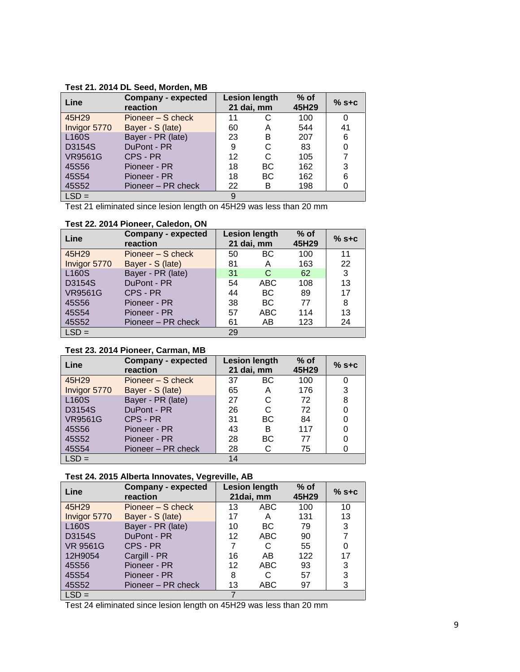| Test 21. 2014 DL Seed, Morden, MB |  |  |  |  |  |  |  |
|-----------------------------------|--|--|--|--|--|--|--|
|-----------------------------------|--|--|--|--|--|--|--|

| Line           | <b>Company - expected</b><br>reaction |    | <b>Lesion length</b><br>21 dai, mm | $%$ of<br>45H29 | $%$ s+c |
|----------------|---------------------------------------|----|------------------------------------|-----------------|---------|
| 45H29          | Pioneer – S check                     | 11 |                                    | 100             | 0       |
| Invigor 5770   | Bayer - S (late)                      | 60 | A                                  | 544             | 41      |
| L160S          | Bayer - PR (late)                     | 23 | в                                  | 207             | 6       |
| D3154S         | DuPont - PR                           | 9  | C                                  | 83              | 0       |
| <b>VR9561G</b> | CPS - PR                              | 12 | C                                  | 105             | 7       |
| 45S56          | Pioneer - PR                          | 18 | <b>BC</b>                          | 162             | 3       |
| 45S54          | Pioneer - PR                          | 18 | <b>BC</b>                          | 162             | 6       |
| 45S52          | Pioneer - PR check                    | 22 | В                                  | 198             |         |
| $LSD =$        |                                       | 9  |                                    |                 |         |

Test 21 eliminated since lesion length on 45H29 was less than 20 mm

### **Test 22. 2014 Pioneer, Caledon, ON**

| Line           | <b>Company - expected</b><br>reaction | <b>Lesion length</b><br>21 dai, mm |            | $%$ of<br>45H29 | $%$ s+c |
|----------------|---------------------------------------|------------------------------------|------------|-----------------|---------|
| 45H29          | Pioneer – S check                     | 50                                 | <b>BC</b>  | 100             | 11      |
| Invigor 5770   | Bayer - S (late)                      | 81                                 | A          | 163             | 22      |
| <b>L160S</b>   | Bayer - PR (late)                     | 31                                 | C          | 62              | 3       |
| D3154S         | DuPont - PR                           | 54                                 | ABC        | 108             | 13      |
| <b>VR9561G</b> | CPS - PR                              | 44                                 | BC         | 89              | 17      |
| 45S56          | Pioneer - PR                          | 38                                 | ВC         | 77              | 8       |
| 45S54          | Pioneer - PR                          | 57                                 | <b>ABC</b> | 114             | 13      |
| 45S52          | Pioneer – PR check                    | 61                                 | AB         | 123             | 24      |
| $LSD =$        |                                       | 29                                 |            |                 |         |

### **Test 23. 2014 Pioneer, Carman, MB**

| Line           | <b>Company - expected</b><br>reaction |    | <b>Lesion length</b><br>21 dai, mm | $%$ of<br>45H29 | $%$ s+c |
|----------------|---------------------------------------|----|------------------------------------|-----------------|---------|
| 45H29          | Pioneer – S check                     | 37 | BC.                                | 100             | 0       |
| Invigor 5770   | Bayer - S (late)                      | 65 | A                                  | 176             | 3       |
| <b>L160S</b>   | Bayer - PR (late)                     | 27 | C                                  | 72              | 8       |
| D3154S         | DuPont - PR                           | 26 | C                                  | 72              | 0       |
| <b>VR9561G</b> | CPS - PR                              | 31 | <b>BC</b>                          | 84              | 0       |
| 45S56          | Pioneer - PR                          | 43 | в                                  | 117             | 0       |
| 45S52          | Pioneer - PR                          | 28 | <b>BC</b>                          | 77              |         |
| 45S54          | Pioneer – PR check                    | 28 |                                    | 75              |         |
| $LSD =$        |                                       | 14 |                                    |                 |         |

### **Test 24. 2015 Alberta Innovates, Vegreville, AB**

| Line               | <b>Company - expected</b><br>reaction |    | <b>Lesion length</b><br>21dai, mm | $%$ of<br>45H29 | $%$ S+C |
|--------------------|---------------------------------------|----|-----------------------------------|-----------------|---------|
| 45H29              | Pioneer – S check                     | 13 | <b>ABC</b>                        | 100             | 10      |
| Invigor 5770       | Bayer - S (late)                      | 17 | А                                 | 131             | 13      |
| L <sub>160</sub> S | Bayer - PR (late)                     | 10 | BC.                               | 79              | 3       |
| D3154S             | DuPont - PR                           | 12 | <b>ABC</b>                        | 90              | 7       |
| <b>VR 9561G</b>    | CPS - PR                              | 7  |                                   | 55              | 0       |
| 12H9054            | Cargill - PR                          | 16 | AB                                | 122             | 17      |
| 45S56              | Pioneer - PR                          | 12 | <b>ABC</b>                        | 93              | 3       |
| 45S54              | Pioneer - PR                          | 8  | С                                 | 57              | 3       |
| 45S52              | Pioneer – PR check                    | 13 | ABC                               | 97              | 3       |
| $LSD =$            |                                       |    |                                   |                 |         |

Test 24 eliminated since lesion length on 45H29 was less than 20 mm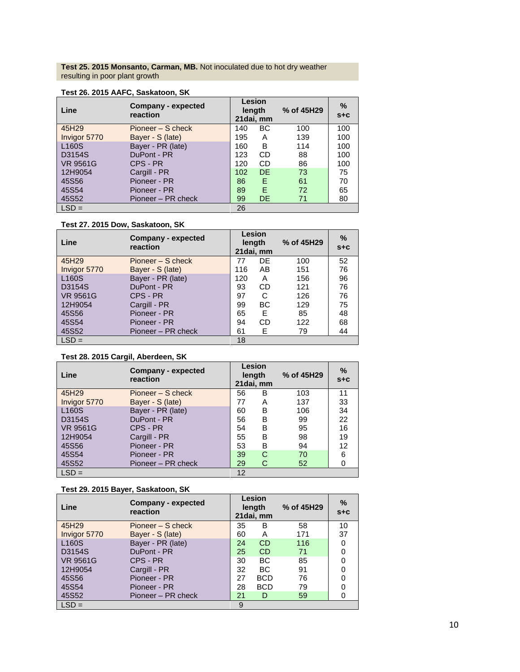**Test 25. 2015 Monsanto, Carman, MB.** Not inoculated due to hot dry weather resulting in poor plant growth

| Line               | Company - expected<br>reaction |     | <b>Lesion</b><br>length<br>21dai, mm | % of 45H29 | %<br>$S + C$ |
|--------------------|--------------------------------|-----|--------------------------------------|------------|--------------|
| 45H29              | Pioneer - S check              | 140 | ВC                                   | 100        | 100          |
| Invigor 5770       | Bayer - S (late)               | 195 | А                                    | 139        | 100          |
| L <sub>160</sub> S | Bayer - PR (late)              | 160 | B                                    | 114        | 100          |
| D3154S             | DuPont - PR                    | 123 | CD                                   | 88         | 100          |
| <b>VR 9561G</b>    | CPS - PR                       | 120 | CD                                   | 86         | 100          |
| 12H9054            | Cargill - PR                   | 102 | DF                                   | 73         | 75           |
| 45S56              | Pioneer - PR                   | 86  | F                                    | 61         | 70           |
| 45S54              | Pioneer - PR                   | 89  | F                                    | 72         | 65           |
| 45S52              | Pioneer - PR check             | 99  | DE                                   | 71         | 80           |
| $LSD =$            |                                | 26  |                                      |            |              |

### **Test 26. 2015 AAFC, Saskatoon, SK**

### **Test 27. 2015 Dow, Saskatoon, SK**

| Line               | Company - expected<br>reaction |     | Lesion<br>length<br>21 dai, mm | % of 45H29 | ℅<br>$S + C$ |
|--------------------|--------------------------------|-----|--------------------------------|------------|--------------|
| 45H29              | Pioneer – S check              | 77  | DE                             | 100        | 52           |
| Invigor 5770       | Bayer - S (late)               | 116 | AB                             | 151        | 76           |
| L <sub>160</sub> S | Bayer - PR (late)              | 120 | A                              | 156        | 96           |
| D3154S             | DuPont - PR                    | 93  | CD                             | 121        | 76           |
| <b>VR 9561G</b>    | CPS - PR                       | 97  | C                              | 126        | 76           |
| 12H9054            | Cargill - PR                   | 99  | BС                             | 129        | 75           |
| 45S56              | Pioneer - PR                   | 65  | E.                             | 85         | 48           |
| 45S54              | Pioneer - PR                   | 94  | CD                             | 122        | 68           |
| 45S52              | Pioneer – PR check             | 61  | E.                             | 79         | 44           |
| $LSD =$            |                                | 18  |                                |            |              |

### **Test 28. 2015 Cargil, Aberdeen, SK**

| Line            | Company - expected<br>reaction |    | <b>Lesion</b><br>length<br>21 dai, mm | % of 45H29 | ℅<br>$S + C$ |
|-----------------|--------------------------------|----|---------------------------------------|------------|--------------|
| 45H29           | Pioneer – S check              | 56 | в                                     | 103        | 11           |
| Invigor 5770    | Bayer - S (late)               | 77 | Α                                     | 137        | 33           |
| <b>L160S</b>    | Bayer - PR (late)              | 60 | В                                     | 106        | 34           |
| D3154S          | DuPont - PR                    | 56 | B                                     | 99         | 22           |
| <b>VR 9561G</b> | CPS - PR                       | 54 | В                                     | 95         | 16           |
| 12H9054         | Cargill - PR                   | 55 | B                                     | 98         | 19           |
| 45S56           | Pioneer - PR                   | 53 | в                                     | 94         | 12           |
| 45S54           | Pioneer - PR                   | 39 | C                                     | 70         | 6            |
| 45S52           | Pioneer - PR check             | 29 | С                                     | 52         |              |
| l LSD =         |                                | 12 |                                       |            |              |

### **Test 29. 2015 Bayer, Saskatoon, SK**

| Line               | <b>Company - expected</b><br>reaction |    | Lesion<br>length<br>21 dai, mm | % of 45H29 | ℅<br>$S + C$ |
|--------------------|---------------------------------------|----|--------------------------------|------------|--------------|
| 45H29              | Pioneer – S check                     | 35 | В                              | 58         | 10           |
| Invigor 5770       | Bayer - S (late)                      | 60 | A                              | 171        | 37           |
| L <sub>160</sub> S | Bayer - PR (late)                     | 24 | <b>CD</b>                      | 116        |              |
| D3154S             | DuPont - PR                           | 25 | <b>CD</b>                      | 71         |              |
| <b>VR 9561G</b>    | CPS - PR                              | 30 | ВC                             | 85         |              |
| 12H9054            | Cargill - PR                          | 32 | ВC                             | 91         |              |
| 45S56              | Pioneer - PR                          | 27 | <b>BCD</b>                     | 76         |              |
| 45S54              | Pioneer - PR                          | 28 | <b>BCD</b>                     | 79         |              |
| 45S52              | Pioneer - PR check                    | 21 | D                              | 59         |              |
| l LSD =            |                                       | 9  |                                |            |              |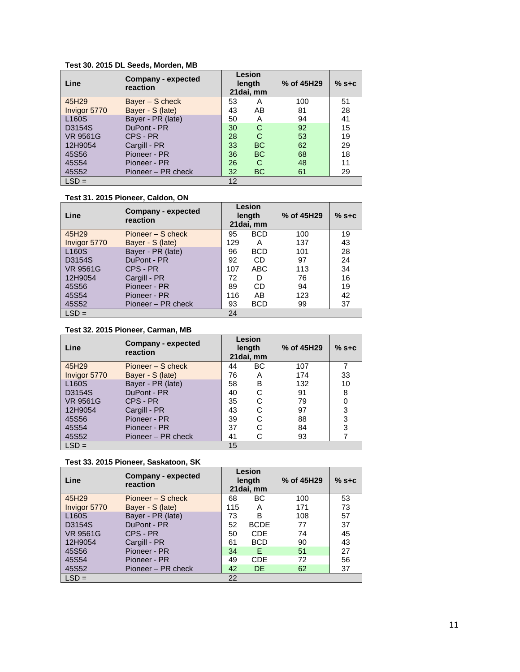### **Test 30. 2015 DL Seeds, Morden, MB**

| Line               | Company - expected<br>reaction |    | Lesion<br>length<br>21 dai, mm | % of 45H29 | $%$ S+C |
|--------------------|--------------------------------|----|--------------------------------|------------|---------|
| 45H29              | Bayer - S check                | 53 | Α                              | 100        | 51      |
| Invigor 5770       | Bayer - S (late)               | 43 | AB                             | 81         | 28      |
| L <sub>160</sub> S | Bayer - PR (late)              | 50 | A                              | 94         | 41      |
| D3154S             | DuPont - PR                    | 30 | C                              | 92         | 15      |
| <b>VR 9561G</b>    | CPS - PR                       | 28 | C                              | 53         | 19      |
| 12H9054            | Cargill - PR                   | 33 | <b>BC</b>                      | 62         | 29      |
| 45S56              | Pioneer - PR                   | 36 | <b>BC</b>                      | 68         | 18      |
| 45S54              | Pioneer - PR                   | 26 | C                              | 48         | 11      |
| 45S52              | Pioneer - PR check             | 32 | <b>BC</b>                      | 61         | 29      |
| $LSD =$            |                                | 12 |                                |            |         |

### **Test 31. 2015 Pioneer, Caldon, ON**

| Line               | Company - expected<br>reaction |     | Lesion<br>length<br>21 dai, mm | % of 45H29 | $%$ s+c |
|--------------------|--------------------------------|-----|--------------------------------|------------|---------|
| 45H29              | Pioneer – S check              | 95  | <b>BCD</b>                     | 100        | 19      |
| Invigor 5770       | Bayer - S (late)               | 129 | А                              | 137        | 43      |
| L <sub>160</sub> S | Bayer - PR (late)              | 96  | <b>BCD</b>                     | 101        | 28      |
| D3154S             | DuPont - PR                    | 92  | CD.                            | 97         | 24      |
| <b>VR 9561G</b>    | CPS - PR                       | 107 | ABC                            | 113        | 34      |
| 12H9054            | Cargill - PR                   | 72  | D                              | 76         | 16      |
| 45S56              | Pioneer - PR                   | 89  | CD                             | 94         | 19      |
| 45S54              | Pioneer - PR                   | 116 | AB                             | 123        | 42      |
| 45S52              | Pioneer - PR check             | 93  | <b>BCD</b>                     | 99         | 37      |
| $LSD =$            |                                | 24  |                                |            |         |

### **Test 32. 2015 Pioneer, Carman, MB**

| Line               | Company - expected<br>reaction |    | Lesion<br>length<br>21 dai, mm | % of 45H29 | $%$ s+c |
|--------------------|--------------------------------|----|--------------------------------|------------|---------|
| 45H29              | Pioneer – S check              | 44 | ВC                             | 107        |         |
| Invigor 5770       | Bayer - S (late)               | 76 | A                              | 174        | 33      |
| L <sub>160</sub> S | Bayer - PR (late)              | 58 | в                              | 132        | 10      |
| D3154S             | DuPont - PR                    | 40 | С                              | 91         | 8       |
| <b>VR 9561G</b>    | CPS - PR                       | 35 | С                              | 79         |         |
| 12H9054            | Cargill - PR                   | 43 | С                              | 97         | 3       |
| 45S56              | Pioneer - PR                   | 39 | C                              | 88         | 3       |
| 45S54              | Pioneer - PR                   | 37 | C                              | 84         | 3       |
| 45S52              | Pioneer – PR check             | 41 | C                              | 93         |         |
| $LSD =$            |                                | 15 |                                |            |         |

### **Test 33. 2015 Pioneer, Saskatoon, SK**

| Line               | Company - expected<br>reaction |     | Lesion<br>length<br>21 dai, mm | % of 45H29 | $%$ s+c |
|--------------------|--------------------------------|-----|--------------------------------|------------|---------|
| 45H29              | Pioneer – S check              | 68  | ВC                             | 100        | 53      |
| Invigor 5770       | Bayer - S (late)               | 115 | Α                              | 171        | 73      |
| L <sub>160</sub> S | Bayer - PR (late)              | 73  | в                              | 108        | 57      |
| D3154S             | DuPont - PR                    | 52  | <b>BCDE</b>                    | 77         | 37      |
| <b>VR 9561G</b>    | CPS - PR                       | 50  | <b>CDE</b>                     | 74         | 45      |
| 12H9054            | Cargill - PR                   | 61  | <b>BCD</b>                     | 90         | 43      |
| 45S56              | Pioneer - PR                   | 34  | E                              | 51         | 27      |
| 45S54              | Pioneer - PR                   | 49  | <b>CDE</b>                     | 72         | 56      |
| 45S52              | Pioneer - PR check             | 42  | <b>DE</b>                      | 62         | 37      |
| $LSD =$            |                                | 22  |                                |            |         |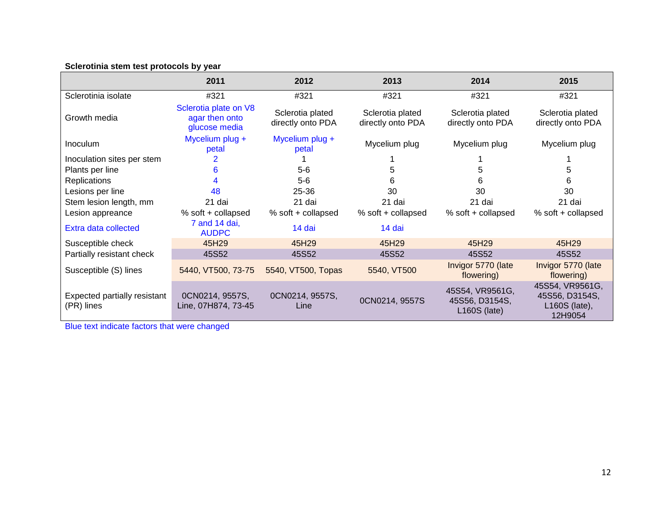# **Sclerotinia stem test protocols by year**

|                                            | 2011                                                     | 2012                                  | 2013                                  | 2014                                                | 2015                                                            |
|--------------------------------------------|----------------------------------------------------------|---------------------------------------|---------------------------------------|-----------------------------------------------------|-----------------------------------------------------------------|
| Sclerotinia isolate                        | #321                                                     | #321                                  | #321                                  | #321                                                | #321                                                            |
| Growth media                               | Sclerotia plate on V8<br>agar then onto<br>glucose media | Sclerotia plated<br>directly onto PDA | Sclerotia plated<br>directly onto PDA | Sclerotia plated<br>directly onto PDA               | Sclerotia plated<br>directly onto PDA                           |
| <b>Inoculum</b>                            | Mycelium plug +<br>petal                                 | Mycelium plug +<br>petal              | Mycelium plug                         | Mycelium plug                                       | Mycelium plug                                                   |
| Inoculation sites per stem                 |                                                          |                                       |                                       |                                                     |                                                                 |
| Plants per line                            | 6                                                        | $5-6$                                 | 5                                     | 5                                                   | 5                                                               |
| <b>Replications</b>                        |                                                          | $5-6$                                 | 6                                     | 6                                                   | 6                                                               |
| Lesions per line                           | 48                                                       | $25 - 36$                             | 30                                    | 30                                                  | 30                                                              |
| Stem lesion length, mm                     | 21 dai                                                   | 21 dai                                | 21 dai                                | 21 dai                                              | 21 dai                                                          |
| Lesion appreance                           | % soft + collapsed                                       | % soft + collapsed                    | % soft + collapsed                    | % soft + collapsed                                  | % soft + collapsed                                              |
| Extra data collected                       | 7 and 14 dai,<br><b>AUDPC</b>                            | 14 dai                                | 14 dai                                |                                                     |                                                                 |
| Susceptible check                          | 45H29                                                    | 45H29                                 | 45H29                                 | 45H29                                               | 45H29                                                           |
| Partially resistant check                  | 45S52                                                    | 45S52                                 | 45S52                                 | 45S52                                               | 45S52                                                           |
| Susceptible (S) lines                      | 5440, VT500, 73-75                                       | 5540, VT500, Topas                    | 5540, VT500                           | Invigor 5770 (late<br>flowering)                    | Invigor 5770 (late<br>flowering)                                |
| Expected partially resistant<br>(PR) lines | 0CN0214, 9557S,<br>Line, 07H874, 73-45                   | 0CN0214, 9557S,<br>Line               | 0CN0214, 9557S                        | 45S54, VR9561G,<br>45S56, D3154S,<br>$L160S$ (late) | 45S54, VR9561G,<br>45S56, D3154S,<br>$L160S$ (late),<br>12H9054 |

Blue text indicate factors that were changed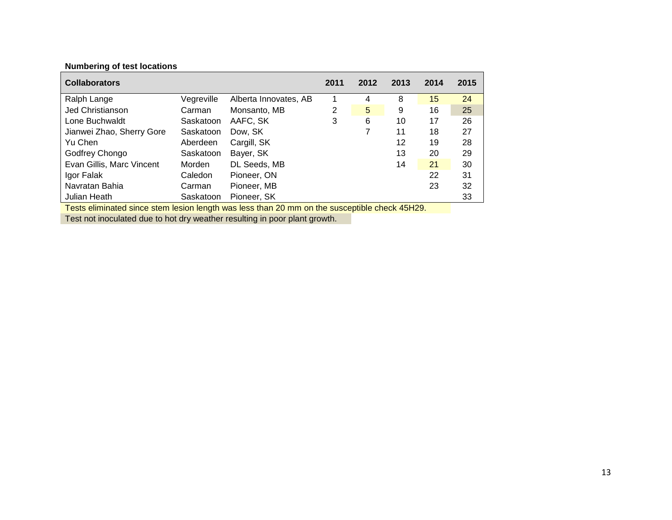| <b>Collaborators</b>                                                                          |            |                       | 2011 | 2012 | 2013 | 2014 | 2015 |  |  |
|-----------------------------------------------------------------------------------------------|------------|-----------------------|------|------|------|------|------|--|--|
| Ralph Lange                                                                                   | Vegreville | Alberta Innovates, AB |      | 4    | 8    | 15   | 24   |  |  |
| <b>Jed Christianson</b>                                                                       | Carman     | Monsanto, MB          | 2    | 5    | 9    | 16   | 25   |  |  |
| Lone Buchwaldt                                                                                | Saskatoon  | AAFC, SK              | 3    | 6    | 10   | 17   | 26   |  |  |
| Jianwei Zhao, Sherry Gore                                                                     | Saskatoon  | Dow. SK               |      | 7    | 11   | 18   | 27   |  |  |
| Yu Chen                                                                                       | Aberdeen   | Cargill, SK           |      |      | 12   | 19   | 28   |  |  |
| Godfrey Chongo                                                                                | Saskatoon  | Bayer, SK             |      |      | 13   | 20   | 29   |  |  |
| Evan Gillis, Marc Vincent                                                                     | Morden     | DL Seeds, MB          |      |      | 14   | 21   | 30   |  |  |
| Igor Falak                                                                                    | Caledon    | Pioneer, ON           |      |      |      | 22   | 31   |  |  |
| Navratan Bahia                                                                                | Carman     | Pioneer, MB           |      |      |      | 23   | 32   |  |  |
| Julian Heath                                                                                  | Saskatoon  | Pioneer, SK           |      |      |      |      | 33   |  |  |
| Tests eliminated since stem lesion length was less than 20 mm on the susceptible check 45H29. |            |                       |      |      |      |      |      |  |  |

**Numbering of test locations**

Test not inoculated due to hot dry weather resulting in poor plant growth.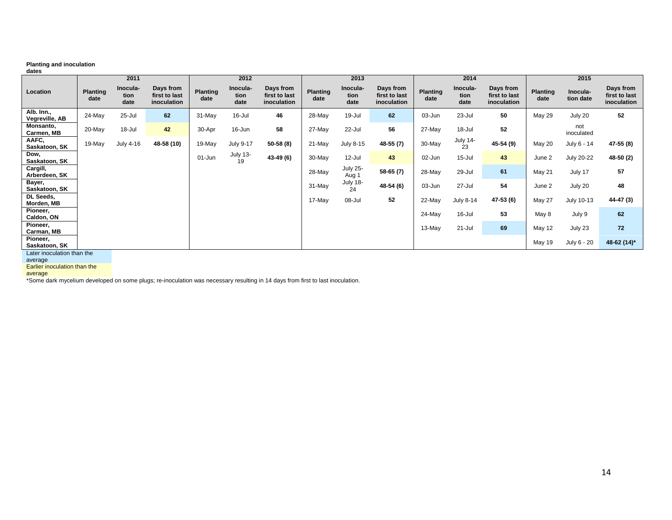### **Planting and inoculation**

| dates                        |                         |                          |                                           |                         |                          |                                           |                         |                          |                                           |                         |                          |                                           |                         |                       |                                           |
|------------------------------|-------------------------|--------------------------|-------------------------------------------|-------------------------|--------------------------|-------------------------------------------|-------------------------|--------------------------|-------------------------------------------|-------------------------|--------------------------|-------------------------------------------|-------------------------|-----------------------|-------------------------------------------|
|                              |                         | 2011                     |                                           |                         | 2012                     |                                           |                         | 2013                     |                                           |                         | 2014                     |                                           |                         | 2015                  |                                           |
| Location                     | <b>Planting</b><br>date | Inocula-<br>tion<br>date | Days from<br>first to last<br>inoculation | <b>Planting</b><br>date | Inocula-<br>tion<br>date | Days from<br>first to last<br>inoculation | <b>Planting</b><br>date | Inocula-<br>tion<br>date | Days from<br>first to last<br>inoculation | <b>Planting</b><br>date | Inocula-<br>tion<br>date | Days from<br>first to last<br>inoculation | <b>Planting</b><br>date | Inocula-<br>tion date | Days from<br>first to last<br>inoculation |
| Alb. Inn.,<br>Vegreville, AB | 24-May                  | $25 -$ Jul               | 62                                        | 31-May                  | 16-Jul                   | 46                                        | 28-May                  | 19-Jul                   | 62                                        | 03-Jun                  | 23-Jul                   | 50                                        | <b>May 29</b>           | July 20               | 52                                        |
| Monsanto,<br>Carmen, MB      | 20-May                  | $18 -$ Jul               | 42                                        | 30-Apr                  | 16-Jun                   | 58                                        | 27-May                  | 22-Jul                   | 56                                        | 27-May                  | 18-Jul                   | 52                                        |                         | not<br>inoculated     |                                           |
| AAFC,<br>Saskatoon, SK       | 19-May                  | July 4-16                | 48-58 (10)                                | 19-May                  | <b>July 9-17</b>         | 50-58 (8)                                 | 21-May                  | July 8-15                | 48-55 (7)                                 | 30-May                  | <b>July 14-</b><br>23    | 45-54 (9)                                 | May 20                  | July 6 - 14           | 47-55 (8)                                 |
| Dow,<br>Saskatoon, SK        |                         |                          |                                           | $01$ -Jun               | <b>July 13-</b><br>19    | 43-49 (6)                                 | $30$ -May               | 12-Jul                   | 43                                        | 02-Jun                  | $15 -$ Jul               | 43                                        | June 2                  | July 20-22            | 48-50 (2)                                 |
| Cargill,<br>Arberdeen, SK    |                         |                          |                                           |                         |                          |                                           | $28$ -May               | <b>July 25-</b><br>Aug 1 | $58-65(7)$                                | 28-May                  | 29-Jul                   | 61                                        | <b>May 21</b>           | July 17               | 57                                        |
| Bayer,<br>Saskatoon, SK      |                         |                          |                                           |                         |                          |                                           | $31$ -May               | <b>July 18-</b><br>24    | 48-54 (6)                                 | 03-Jun                  | 27-Jul                   | 54                                        | June 2                  | July 20               | 48                                        |
| DL Seeds,<br>Morden, MB      |                         |                          |                                           |                         |                          |                                           | 17-May                  | 08-Jul                   | 52                                        | 22-May                  | July 8-14                | 47-53 (6)                                 | <b>May 27</b>           | July 10-13            | 44-47 (3)                                 |
| Pioneer,<br>Caldon, ON       |                         |                          |                                           |                         |                          |                                           |                         |                          |                                           | 24-May                  | 16-Jul                   | 53                                        | May 8                   | July 9                | 62                                        |
| Pioneer,<br>Carman, MB       |                         |                          |                                           |                         |                          |                                           |                         |                          |                                           | $13-May$                | 21-Jul                   | 69                                        | May 12                  | July 23               | 72                                        |
| Pioneer,<br>Saskatoon, SK    |                         |                          |                                           |                         |                          |                                           |                         |                          |                                           |                         |                          |                                           | May 19                  | July 6 - 20           | 48-62 (14)*                               |

Later inoculation than the

average Earlier inoculation than the

average

\*Some dark mycelium developed on some plugs; re-inoculation was necessary resulting in 14 days from first to last inoculation.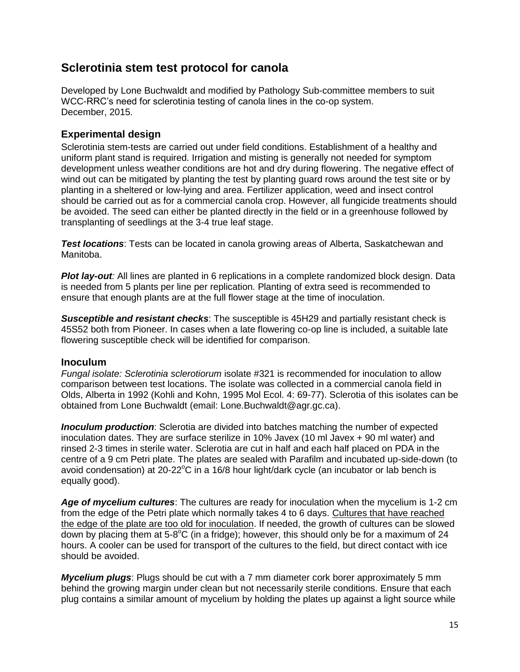# **Sclerotinia stem test protocol for canola**

Developed by Lone Buchwaldt and modified by Pathology Sub-committee members to suit WCC-RRC's need for sclerotinia testing of canola lines in the co-op system. December, 2015.

# **Experimental design**

Sclerotinia stem-tests are carried out under field conditions. Establishment of a healthy and uniform plant stand is required. Irrigation and misting is generally not needed for symptom development unless weather conditions are hot and dry during flowering. The negative effect of wind out can be mitigated by planting the test by planting guard rows around the test site or by planting in a sheltered or low-lying and area. Fertilizer application, weed and insect control should be carried out as for a commercial canola crop. However, all fungicide treatments should be avoided. The seed can either be planted directly in the field or in a greenhouse followed by transplanting of seedlings at the 3-4 true leaf stage.

*Test locations*: Tests can be located in canola growing areas of Alberta, Saskatchewan and Manitoba.

*Plot lay-out:* All lines are planted in 6 replications in a complete randomized block design. Data is needed from 5 plants per line per replication. Planting of extra seed is recommended to ensure that enough plants are at the full flower stage at the time of inoculation.

*Susceptible and resistant checks*: The susceptible is 45H29 and partially resistant check is 45S52 both from Pioneer. In cases when a late flowering co-op line is included, a suitable late flowering susceptible check will be identified for comparison.

# **Inoculum**

*Fungal isolate: Sclerotinia sclerotiorum* isolate #321 is recommended for inoculation to allow comparison between test locations. The isolate was collected in a commercial canola field in Olds, Alberta in 1992 (Kohli and Kohn, 1995 Mol Ecol. 4: 69-77). Sclerotia of this isolates can be obtained from Lone Buchwaldt (email: Lone.Buchwaldt@agr.gc.ca).

*Inoculum production*: Sclerotia are divided into batches matching the number of expected inoculation dates. They are surface sterilize in 10% Javex (10 ml Javex + 90 ml water) and rinsed 2-3 times in sterile water. Sclerotia are cut in half and each half placed on PDA in the centre of a 9 cm Petri plate. The plates are sealed with Parafilm and incubated up-side-down (to avoid condensation) at 20-22 $\degree$ C in a 16/8 hour light/dark cycle (an incubator or lab bench is equally good).

*Age of mycelium cultures*: The cultures are ready for inoculation when the mycelium is 1-2 cm from the edge of the Petri plate which normally takes 4 to 6 days. Cultures that have reached the edge of the plate are too old for inoculation. If needed, the growth of cultures can be slowed down by placing them at 5-8°C (in a fridge); however, this should only be for a maximum of 24 hours. A cooler can be used for transport of the cultures to the field, but direct contact with ice should be avoided.

*Mycelium plugs*: Plugs should be cut with a 7 mm diameter cork borer approximately 5 mm behind the growing margin under clean but not necessarily sterile conditions. Ensure that each plug contains a similar amount of mycelium by holding the plates up against a light source while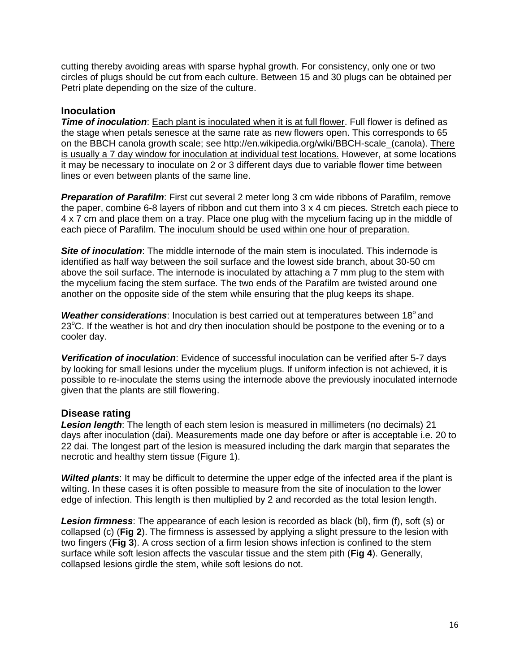cutting thereby avoiding areas with sparse hyphal growth. For consistency, only one or two circles of plugs should be cut from each culture. Between 15 and 30 plugs can be obtained per Petri plate depending on the size of the culture.

## **Inoculation**

*Time of inoculation*: Each plant is inoculated when it is at full flower. Full flower is defined as the stage when petals senesce at the same rate as new flowers open. This corresponds to 65 on the BBCH canola growth scale; see http://en.wikipedia.org/wiki/BBCH-scale\_(canola). There is usually a 7 day window for inoculation at individual test locations. However, at some locations it may be necessary to inoculate on 2 or 3 different days due to variable flower time between lines or even between plants of the same line.

**Preparation of Parafilm:** First cut several 2 meter long 3 cm wide ribbons of Parafilm, remove the paper, combine 6-8 layers of ribbon and cut them into 3 x 4 cm pieces. Stretch each piece to 4 x 7 cm and place them on a tray. Place one plug with the mycelium facing up in the middle of each piece of Parafilm. The inoculum should be used within one hour of preparation.

**Site of inoculation**: The middle internode of the main stem is inoculated. This indernode is identified as half way between the soil surface and the lowest side branch, about 30-50 cm above the soil surface. The internode is inoculated by attaching a 7 mm plug to the stem with the mycelium facing the stem surface. The two ends of the Parafilm are twisted around one another on the opposite side of the stem while ensuring that the plug keeps its shape.

**Weather considerations**: Inoculation is best carried out at temperatures between 18<sup>°</sup> and 23 $^{\circ}$ C. If the weather is hot and dry then inoculation should be postpone to the evening or to a cooler day.

*Verification of inoculation*: Evidence of successful inoculation can be verified after 5-7 days by looking for small lesions under the mycelium plugs. If uniform infection is not achieved, it is possible to re-inoculate the stems using the internode above the previously inoculated internode given that the plants are still flowering.

## **Disease rating**

*Lesion length*: The length of each stem lesion is measured in millimeters (no decimals) 21 days after inoculation (dai). Measurements made one day before or after is acceptable i.e. 20 to 22 dai. The longest part of the lesion is measured including the dark margin that separates the necrotic and healthy stem tissue (Figure 1).

*Wilted plants*: It may be difficult to determine the upper edge of the infected area if the plant is wilting. In these cases it is often possible to measure from the site of inoculation to the lower edge of infection. This length is then multiplied by 2 and recorded as the total lesion length.

*Lesion firmness*: The appearance of each lesion is recorded as black (bl), firm (f), soft (s) or collapsed (c) (**Fig 2**). The firmness is assessed by applying a slight pressure to the lesion with two fingers (**Fig 3**). A cross section of a firm lesion shows infection is confined to the stem surface while soft lesion affects the vascular tissue and the stem pith (**Fig 4**). Generally, collapsed lesions girdle the stem, while soft lesions do not.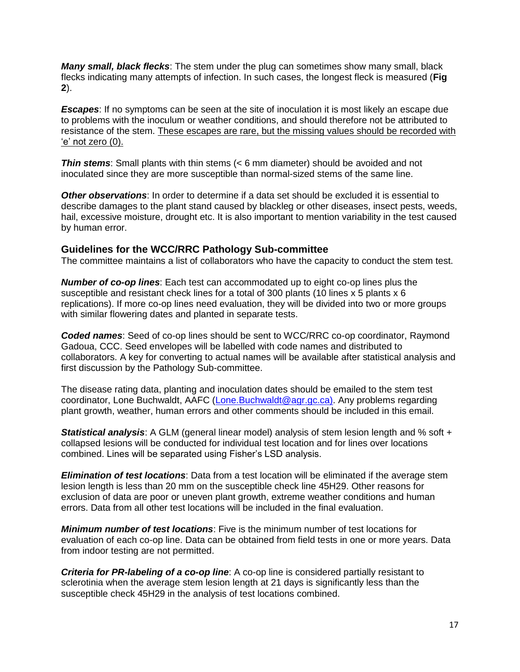*Many small, black flecks*: The stem under the plug can sometimes show many small, black flecks indicating many attempts of infection. In such cases, the longest fleck is measured (**Fig 2**).

*Escapes*: If no symptoms can be seen at the site of inoculation it is most likely an escape due to problems with the inoculum or weather conditions, and should therefore not be attributed to resistance of the stem. These escapes are rare, but the missing values should be recorded with 'e' not zero (0).

*Thin stems*: Small plants with thin stems (< 6 mm diameter) should be avoided and not inoculated since they are more susceptible than normal-sized stems of the same line.

*Other observations*: In order to determine if a data set should be excluded it is essential to describe damages to the plant stand caused by blackleg or other diseases, insect pests, weeds, hail, excessive moisture, drought etc. It is also important to mention variability in the test caused by human error.

## **Guidelines for the WCC/RRC Pathology Sub-committee**

The committee maintains a list of collaborators who have the capacity to conduct the stem test.

*Number of co-op lines*: Each test can accommodated up to eight co-op lines plus the susceptible and resistant check lines for a total of 300 plants (10 lines x 5 plants x 6 replications). If more co-op lines need evaluation, they will be divided into two or more groups with similar flowering dates and planted in separate tests.

*Coded names*: Seed of co-op lines should be sent to WCC/RRC co-op coordinator, Raymond Gadoua, CCC. Seed envelopes will be labelled with code names and distributed to collaborators. A key for converting to actual names will be available after statistical analysis and first discussion by the Pathology Sub-committee.

The disease rating data, planting and inoculation dates should be emailed to the stem test coordinator, Lone Buchwaldt, AAFC [\(Lone.Buchwaldt@agr.gc.ca\)](mailto:Lone.Buchwaldt@agr.gc.ca). Any problems regarding plant growth, weather, human errors and other comments should be included in this email.

*Statistical analysis*: A GLM (general linear model) analysis of stem lesion length and % soft + collapsed lesions will be conducted for individual test location and for lines over locations combined. Lines will be separated using Fisher's LSD analysis.

*Elimination of test locations*: Data from a test location will be eliminated if the average stem lesion length is less than 20 mm on the susceptible check line 45H29. Other reasons for exclusion of data are poor or uneven plant growth, extreme weather conditions and human errors. Data from all other test locations will be included in the final evaluation.

*Minimum number of test locations*: Five is the minimum number of test locations for evaluation of each co-op line. Data can be obtained from field tests in one or more years. Data from indoor testing are not permitted.

*Criteria for PR-labeling of a co-op line*: A co-op line is considered partially resistant to sclerotinia when the average stem lesion length at 21 days is significantly less than the susceptible check 45H29 in the analysis of test locations combined.